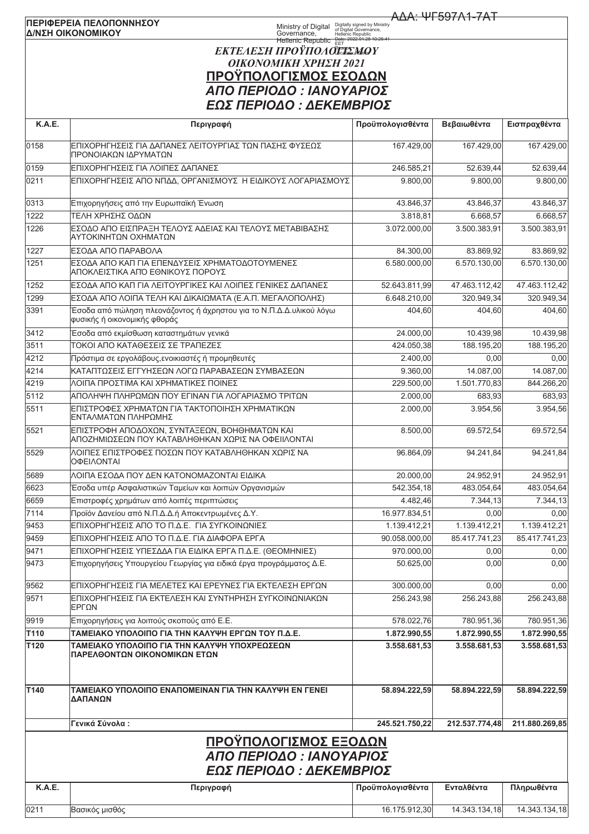## ΠΕΡΙΦΕΡΕΙΑ ΠΕΛΟΠΟΝΝΗΣΟΥ Δ/ΝΣΗ ΟΙΚΟΝΟΜΙΚΟΥ

**AAA: ΨΓ597A1-7AT** 

## Ministry of Digital Digitally signed by Ministry<br>Governance, Hellenic Republic<br>Hellenic Republic EET<br>Hellenic Republic EET ΕΚΤΕΛΕΣΗ ΠΡΟΫΠΟΛΟΙΞΙΣΜΟΥ ΟΙΚΟΝΟΜΙΚΗ ΧΡΗΣΗ 2021 ΠΡΟΫΠΟΛΟΓΙΣΜΟΣ ΕΣΟΔΩΝ ΑΠΟ ΠΕΡΙΟΔΟ: ΙΑΝΟΥΑΡΙΟΣ **FOS ΠΕΡΙΟΛΟ · ΛΕΚΕΜΒΡΙΟΣ**

| <b>K.A.E.</b> | Περιγραφή                                                                                           | Προϋπολογισθέντα | Βεβαιωθέντα    | Εισπραχθέντα           |
|---------------|-----------------------------------------------------------------------------------------------------|------------------|----------------|------------------------|
| 0158          | ΕΠΙΧΟΡΗΓΗΣΕΙΣ ΓΙΑ ΔΑΠΑΝΕΣ ΛΕΙΤΟΥΡΓΙΑΣ ΤΩΝ ΠΑΣΗΣ ΦΥΣΕΩΣ<br>ΠΡΟΝΟΙΑΚΩΝ ΙΔΡΥΜΑΤΩΝ                      | 167.429,00       | 167.429,00     | 167.429.00             |
| 0159          | ΕΠΙΧΟΡΗΓΗΣΕΙΣ ΓΙΑ ΛΟΙΠΕΣ ΔΑΠΑΝΕΣ                                                                    | 246.585,21       | 52.639,44      | $\overline{52.639,44}$ |
| 0211          | ΕΠΙΧΟΡΗΓΗΣΕΙΣ ΑΠΟ ΝΠΔΔ, ΟΡΓΑΝΙΣΜΟΥΣ Η ΕΙΔΙΚΟΥΣ ΛΟΓΑΡΙΑΣΜΟΥΣ                                         | 9.800,00         | 9.800.00       | 9.800,00               |
| 0313          | Επιχορηγήσεις από την Ευρωπαϊκή Ένωση                                                               | 43.846,37        | 43.846,37      | 43.846,37              |
| 1222          | ΤΕΛΗ ΧΡΗΣΗΣ ΟΔΩΝ                                                                                    | 3.818,81         | 6.668,57       | 6.668.57               |
| 1226          | ΕΣΟΔΟ ΑΠΟ ΕΙΣΠΡΑΞΗ ΤΕΛΟΥΣ ΑΔΕΙΑΣ ΚΑΙ ΤΕΛΟΥΣ ΜΕΤΑΒΙΒΑΣΗΣ<br>ΑΥΤΟΚΙΝΗΤΩΝ ΟΧΗΜΑΤΩΝ                     | 3.072.000,00     | 3.500.383.91   | 3.500.383,91           |
| 1227          | ΕΣΟΔΑ ΑΠΟ ΠΑΡΑΒΟΛΑ                                                                                  | 84.300,00        | 83.869,92      | 83.869,92              |
| 1251          | ΕΣΟΔΑ ΑΠΟ ΚΑΠ ΓΙΑ ΕΠΕΝΔΥΣΕΙΣ ΧΡΗΜΑΤΟΔΟΤΟΥΜΕΝΕΣ<br>ΑΠΟΚΛΕΙΣΤΙΚΑ ΑΠΌ ΕΘΝΙΚΟΥΣ ΠΟΡΟΥΣ                  | 6.580.000,00     | 6.570.130,00   | 6.570.130,00           |
| 1252          | ΕΣΟΔΑ ΑΠΟ ΚΑΠ ΓΙΑ ΛΕΙΤΟΥΡΓΙΚΕΣ ΚΑΙ ΛΟΙΠΕΣ ΓΕΝΙΚΕΣ ΔΑΠΑΝΕΣ                                           | 52.643.811,99    | 47.463.112,42  | 47.463.112,42          |
| 1299          | ΕΣΟΔΑ ΑΠΟ ΛΟΙΠΑ ΤΕΛΗ ΚΑΙ ΔΙΚΑΙΩΜΑΤΑ (Ε.Α.Π. ΜΕΓΑΛΟΠΟΛΗΣ)                                            | 6.648.210,00     | 320.949,34     | 320.949,34             |
| 3391          | Έσοδα από πώληση πλεονάζοντος ή άχρηστου για το Ν.Π.Δ.Δ.υλικού λόγω<br>φυσικής ή οικονομικής φθοράς | 404,60           | 404,60         | 404,60                 |
| 3412          | Έσοδα από εκμίσθωση καταστημάτων γενικά                                                             | 24.000,00        | 10.439,98      | 10.439,98              |
| 3511          | ΤΟΚΟΙ ΑΠΟ ΚΑΤΑΘΕΣΕΙΣ ΣΕ ΤΡΑΠΕΖΕΣ                                                                    | 424.050.38       | 188.195,20     | 188.195,20             |
| 4212          | Πρόστιμα σε εργολάβους, ενοικιαστές ή προμηθευτές                                                   | 2.400,00         | 0,00           | 0,00                   |
| 4214          | ΚΑΤΑΠΤΩΣΕΙΣ ΕΓΓΥΗΣΕΩΝ ΛΟΓΩ ΠΑΡΑΒΑΣΕΩΝ ΣΥΜΒΑΣΕΩΝ                                                     | 9.360,00         | 14.087,00      | 14.087,00              |
| 4219          | ΛΟΙΠΑ ΠΡΟΣΤΙΜΑ ΚΑΙ ΧΡΗΜΑΤΙΚΕΣ ΠΟΙΝΕΣ                                                                | 229.500,00       | 1.501.770.83   | 844.266,20             |
| 5112          | ΑΠΟΛΗΨΗ ΠΛΗΡΩΜΩΝ ΠΟΥ ΕΓΙΝΑΝ ΓΙΑ ΛΟΓΑΡΙΑΣΜΟ ΤΡΙΤΩΝ                                                   | 2.000,00         | 683,93         | 683,93                 |
| 5511          | ΕΠΙΣΤΡΟΦΕΣ ΧΡΗΜΑΤΩΝ ΓΙΑ ΤΑΚΤΟΠΟΙΗΣΗ ΧΡΗΜΑΤΙΚΩΝ<br>ΕΝΤΑΛΜΑΤΩΝ ΠΛΗΡΩΜΗΣ                               | 2.000,00         | 3.954,56       | 3.954,56               |
| 5521          | ΕΠΙΣΤΡΟΦΗ ΑΠΟΔΟΧΩΝ, ΣΥΝΤΑΞΕΩΝ, ΒΟΗΘΗΜΑΤΩΝ ΚΑΙ<br>ΑΠΟΖΗΜΙΩΣΕΩΝ ΠΟΥ ΚΑΤΑΒΛΗΘΗΚΑΝ ΧΩΡΙΣ ΝΑ ΟΦΕΙΙΛΟΝΤΑΙ | 8.500,00         | 69.572,54      | 69.572,54              |
| 5529          | ΛΟΙΠΕΣ ΕΠΙΣΤΡΟΦΕΣ ΠΟΣΩΝ ΠΟΥ ΚΑΤΑΒΛΗΘΗΚΑΝ ΧΩΡΙΣ ΝΑ<br>ΟΦΕΙΛΟΝΤΑΙ                                     | 96.864,09        | 94.241,84      | 94.241,84              |
| 5689          | ΛΟΙΠΑ ΕΣΟΔΑ ΠΟΥ ΔΕΝ ΚΑΤΟΝΟΜΑΖΟΝΤΑΙ ΕΙΔΙΚΑ                                                           | 20.000,00        | 24.952,91      | 24.952,91              |
| 6623          | Έσοδα υπέρ Ασφαλιστικών Ταμείων και λοιπών Οργανισμών                                               | 542.354,18       | 483.054,64     | 483.054,64             |
| 6659          | Επιστροφές χρημάτων από λοιπές περιπτώσεις                                                          | 4.482,46         | 7.344,13       | 7.344,13               |
| 7114          | Προϊόν Δανείου από Ν.Π.Δ.Δ.ή Αποκεντρωμένες Δ.Υ.                                                    | 16.977.834.51    | 0,00           | 0,00                   |
| 9453          | ΕΠΙΧΟΡΗΓΗΣΕΙΣ ΑΠΟ ΤΟ Π.Δ.Ε. ΓΙΑ ΣΥΓΚΟΙΝΩΝΙΕΣ                                                        | 1.139.412,21     | 1.139.412,21   | 1.139.412.21           |
| 9459          | ΕΠΙΧΟΡΗΓΗΣΕΙΣ ΑΠΟ ΤΟ Π.Δ.Ε. ΓΙΑ ΔΙΑΦΟΡΑ ΕΡΓΑ                                                        | 90.058.000,00    | 85.417.741,23  | 85.417.741,23          |
| 9471          | ΙΕΠΙΧΟΡΗΓΗΣΕΙΣ ΥΠΕΣΔΔΑ ΓΙΑ ΕΙΔΙΚΑ ΕΡΓΑ Π.Δ.Ε. (ΘΕΟΜΗΝΙΕΣ)                                           | 970.000,00       | 0,00           | 0,00                   |
| 9473          | Επιχορηγήσεις Υπουργείου Γεωργίας για ειδικά έργα προγράμματος Δ.Ε.                                 | 50.625.00        | 0,00           | 0,00                   |
| 9562          | ΕΠΙΧΟΡΗΓΗΣΕΙΣ ΓΙΑ ΜΕΛΕΤΕΣ ΚΑΙ ΕΡΕΥΝΕΣ ΓΙΑ ΕΚΤΕΛΕΣΗ ΕΡΓΩΝ                                            | 300.000,00       | 0,00           | 0,00                   |
| 9571          | ΕΠΙΧΟΡΗΓΗΣΕΙΣ ΓΙΑ ΕΚΤΕΛΕΣΗ ΚΑΙ ΣΥΝΤΗΡΗΣΗ ΣΥΓΚΟΙΝΩΝΙΑΚΩΝ<br>ΕΡΓΩΝ                                    | 256.243,98       | 256.243,88     | 256.243,88             |
| 9919          | Επιχορηγήσεις για λοιπούς σκοπούς από Ε.Ε.                                                          | 578.022,76       | 780.951,36     | 780.951,36             |
| T110          | ΤΑΜΕΙΑΚΟ ΥΠΟΛΟΙΠΟ ΓΙΑ ΤΗΝ ΚΑΛΥΨΗ ΕΡΓΩΝ ΤΟΥ Π.Δ.Ε.                                                   | 1.872.990,55     | 1.872.990,55   | 1.872.990,55           |
| T120          | ΤΑΜΕΙΑΚΟ ΥΠΟΛΟΙΠΟ ΓΙΑ ΤΗΝ ΚΑΛΥΨΗ ΥΠΟΧΡΕΩΣΕΩΝ<br>ΠΑΡΕΛΘΟΝΤΩΝ ΟΙΚΟΝΟΜΙΚΩΝ ΕΤΩΝ                        | 3.558.681,53     | 3.558.681,53   | 3.558.681,53           |
| T140          | <b>TAMEIAKO YΠOΛOIΠO ENAΠOMEINAN ΓΙΑ ΤΗΝ ΚΑΛΥΨΗ ΕΝ ΓΕΝΕΙ</b><br>ΔΑΠΑΝΩΝ                             | 58.894.222,59    | 58.894.222,59  | 58.894.222,59          |
|               | Γενικά Σύνολα:                                                                                      | 245.521.750,22   | 212.537.774,48 | 211.880.269,85         |
|               | <u>ΠΡΟΫΠΟΛΟΓΙΣΜΟΣ ΕΞΟΔΩΝ</u><br>ΑΠΟ ΠΕΡΙΟΔΟ : ΙΑΝΟΥΑΡΙΟΣ<br>ΕΩΣ ΠΕΡΙΟΔΟ : ΔΕΚΕΜΒΡΙΟΣ                |                  |                |                        |
| K.A.E.        | Περιγραφή                                                                                           | Προϋπολογισθέντα | Ενταλθέντα     | Πληρωθέντα             |
| 0211          | Βασικός μισθός                                                                                      | 16.175.912,30    | 14.343.134,18  | 14.343.134,18          |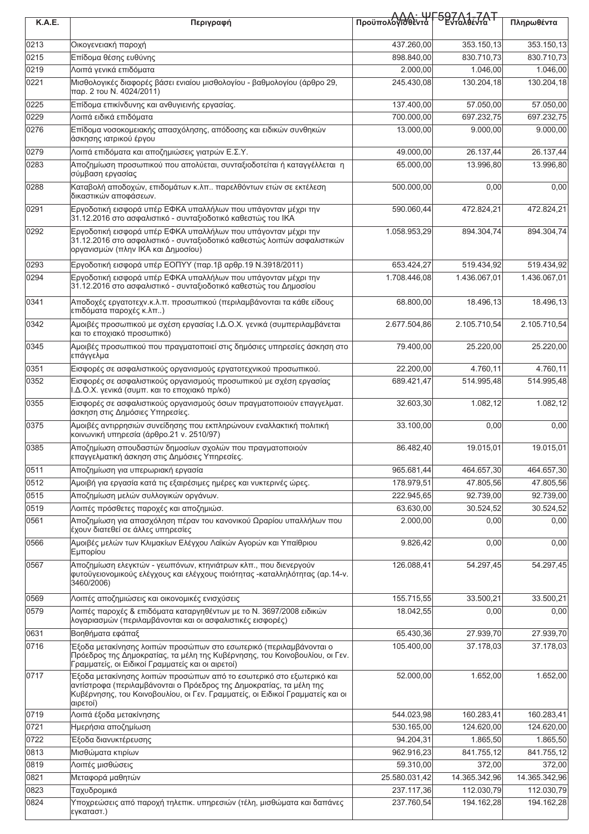| <b>K.A.E.</b> | Περιγραφή                                                                                                                                                                                                                                                                                      | Προϋπολόγιοθέντα   597/1-7AT | Πληρωθέντα    |               |
|---------------|------------------------------------------------------------------------------------------------------------------------------------------------------------------------------------------------------------------------------------------------------------------------------------------------|------------------------------|---------------|---------------|
|               |                                                                                                                                                                                                                                                                                                |                              |               |               |
| 0213          | Οικογενειακή παροχή                                                                                                                                                                                                                                                                            | 437.260,00                   | 353.150,13    | 353.150,13    |
| 0215          | Επίδομα θέσης ευθύνης                                                                                                                                                                                                                                                                          | 898.840,00                   | 830.710,73    | 830.710,73    |
| 0219          | Λοιπά γενικά επιδόματα                                                                                                                                                                                                                                                                         | 2.000,00                     | 1.046,00      | 1.046,00      |
| 0221          | Μισθολογικές διαφορές βάσει ενιαίου μισθολογίου - βαθμολογίου (άρθρο 29,<br>παρ. 2 του Ν. 4024/2011)                                                                                                                                                                                           | 245.430,08                   | 130.204,18    | 130.204,18    |
| 0225          | Επίδομα επικίνδυνης και ανθυγιεινής εργασίας.                                                                                                                                                                                                                                                  | 137.400,00                   | 57.050,00     | 57.050,00     |
| 0229          | Λοιπά ειδικά επιδόματα                                                                                                                                                                                                                                                                         | 700.000,00                   | 697.232.75    | 697.232,75    |
| 0276          | Επίδομα νοσοκομειακής απασχόλησης, απόδοσης και ειδικών συνθηκών<br>άσκησης ιατρικού έργου                                                                                                                                                                                                     | 13.000.00                    | 9.000,00      | 9.000,00      |
| 0279          | Λοιπά επιδόματα και αποζημιώσεις γιατρών Ε.Σ.Υ.                                                                                                                                                                                                                                                | 49.000,00                    | 26.137,44     | 26.137,44     |
| 0283          | Αποζημίωση προσωπικού που απολύεται, συνταξιοδοτείται ή καταγγέλλεται η<br>σύμβαση εργασίας                                                                                                                                                                                                    | 65.000,00                    | 13.996,80     | 13.996,80     |
| 0288          | Καταβολή αποδοχών, επιδομάτων κ.λπ παρελθόντων ετών σε εκτέλεση<br>δικαστικών αποφάσεων.                                                                                                                                                                                                       | 500.000,00                   | 0,00          | 0,00          |
| 0291          | Εργοδοτική εισφορά υπέρ ΕΦΚΑ υπαλλήλων που υπάγονταν μέχρι την<br>31.12.2016 στο ασφαλιστικό - συνταξιοδοτικό καθεστώς του ΙΚΑ                                                                                                                                                                 | 590.060,44                   | 472.824,21    | 472.824,21    |
| 0292          | Εργοδοτική εισφορά υπέρ ΕΦΚΑ υπαλλήλων που υπάγονταν μέχρι την<br>31.12.2016 στο ασφαλιστικό - συνταξιοδοτικό καθεστώς λοιπών ασφαλιστικών<br>οργανισμών (πλην ΙΚΑ και Δημοσίου)                                                                                                               | 1.058.953,29                 | 894.304,74    | 894.304,74    |
| 0293          | Εργοδοτική εισφορά υπέρ ΕΟΠΥΥ (παρ.1β αρθρ.19 Ν.3918/2011)                                                                                                                                                                                                                                     | 653.424,27                   | 519.434,92    | 519.434,92    |
| 0294          | Εργοδοτική εισφορά υπέρ ΕΦΚΑ υπαλλήλων που υπάγονταν μέχρι την<br>31.12.2016 στο ασφαλιστικό - συνταξιοδοτικό καθεστώς του Δημοσίου                                                                                                                                                            | 1.708.446,08                 | 1.436.067,01  | 1.436.067,01  |
| 0341          | Αποδοχές εργατοτεχν.κ.λ.π. προσωπικού (περιλαμβάνονται τα κάθε είδους<br>επιδόματα παροχές κ.λπ)                                                                                                                                                                                               | 68.800,00                    | 18.496,13     | 18.496,13     |
| 0342          | Αμοιβές προσωπικού με σχέση εργασίας Ι.Δ.Ο.Χ. γενικά (συμπεριλαμβάνεται<br>και το εποχιακό προσωπικό)                                                                                                                                                                                          | 2.677.504,86                 | 2.105.710,54  | 2.105.710,54  |
| 0345          | Αμοιβές προσωπικού που πραγματοποιεί στις δημόσιες υπηρεσίες άσκηση στο<br>επάγγελμα                                                                                                                                                                                                           | 79.400,00                    | 25.220,00     | 25.220,00     |
| 0351          | Εισφορές σε ασφαλιστικούς οργανισμούς εργατοτεχνικού προσωπικού.                                                                                                                                                                                                                               | 22.200,00                    | 4.760,11      | 4.760,11      |
| 0352          | Εισφορές σε ασφαλιστικούς οργανισμούς προσωπικού με σχέση εργασίας<br>Ι.Δ.Ο.Χ. γενικά (συμπ. και το εποχιακό πρ/κό)                                                                                                                                                                            | 689.421,47                   | 514.995,48    | 514.995,48    |
| 0355          | Εισφορές σε ασφαλιστικούς οργανισμούς όσων πραγματοποιούν επαγγελματ.<br>άσκηση στις Δημόσιες Υπηρεσίες.                                                                                                                                                                                       | 32.603,30                    | 1.082,12      | 1.082,12      |
| 0375          | Αμοιβές αντιρρησιών συνείδησης που εκπληρώνουν εναλλακτική πολιτική<br>κοινωνική υπηρεσία (άρθρο 21 v. 2510/97)                                                                                                                                                                                | 33.100,00                    | 0,00          | 0,00          |
| 0385          | Αποζημίωση σπουδαστών δημοσίων σχολών που πραγματοποιούν<br>επαγγελματική άσκηση στις Δημόσιες Υπηρεσίες.                                                                                                                                                                                      | 86.482,40                    | 19.015,01     | 19.015,01     |
| 0511          | Αποζημίωση για υπερωριακή εργασία                                                                                                                                                                                                                                                              | 965.681,44                   | 464.657,30    | 464.657,30    |
| 0512          | Αμοιβή για εργασία κατά τις εξαιρέσιμες ημέρες και νυκτερινές ώρες.                                                                                                                                                                                                                            | 178.979,51                   | 47.805,56     | 47.805,56     |
| 0515          | Αποζημίωση μελών συλλογικών οργάνων.                                                                                                                                                                                                                                                           | 222.945,65                   | 92.739,00     | 92.739,00     |
| 0519          | Λοιπές πρόσθετες παροχές και αποζημιώσ.                                                                                                                                                                                                                                                        | 63.630,00                    | 30.524,52     | 30.524,52     |
| 0561          | Αποζημίωση για απασχόληση πέραν του κανονικού Ωραρίου υπαλλήλων που<br>έχουν διατεθεί σε άλλες υπηρεσίες                                                                                                                                                                                       | 2.000,00                     | 0,00          | 0,00          |
| 0566          | Αμοιβές μελών των Κλιμακίων Ελέγχου Λαϊκών Αγορών και Υπαίθριου<br>Εμπορίου                                                                                                                                                                                                                    | 9.826,42                     | 0,00          | 0,00          |
| 0567          | Αποζημίωση ελεγκτών - γεωπόνων, κτηνιάτρων κλπ., που διενεργούν<br>φυτοϋγειονομικούς ελέγχους και ελέγχους ποιότητας -καταλληλότητας (αρ.14-ν.<br>3460/2006)                                                                                                                                   | 126.088,41                   | 54.297,45     | 54.297,45     |
| 0569          | Λοιπές αποζημιώσεις και οικονομικές ενισχύσεις                                                                                                                                                                                                                                                 | 155.715,55                   | 33.500,21     | 33.500,21     |
| 0579          | Λοιπές παροχές & επιδόματα καταργηθέντων με το Ν. 3697/2008 ειδικών<br>λογαριασμών (περιλαμβάνονται και οι ασφαλιστικές εισφορές)                                                                                                                                                              | 18.042,55                    | 0,00          | 0,00          |
| 0631          | Βοηθήματα εφάπαξ                                                                                                                                                                                                                                                                               | 65.430,36                    | 27.939,70     | 27.939,70     |
| 0716          | Έξοδα μετακίνησης λοιπών προσώπων στο εσωτερικό (περιλαμβάνονται ο<br>Πρόεδρος της Δημοκρατίας, τα μέλη της Κυβέρνησης, του Κοινοβουλίου, οι Γεν.                                                                                                                                              | 105.400,00                   | 37.178,03     | 37.178,03     |
| 0717          | Γραμματείς, οι Ειδικοί Γραμματείς και οι αιρετοί)<br>Έξοδα μετακίνησης λοιπών προσώπων από το εσωτερικό στο εξωτερικό και<br>αντίστροφα (περιλαμβάνονται ο Πρόεδρος της Δημοκρατίας, τα μέλη της<br>Κυβέρνησης, του Κοινοβουλίου, οι Γεν. Γραμματείς, οι Ειδικοί Γραμματείς και οι<br>αιρετοί) | 52.000,00                    | 1.652,00      | 1.652,00      |
| 0719          | Λοιπά έξοδα μετακίνησης                                                                                                                                                                                                                                                                        | 544.023,98                   | 160.283,41    | 160.283,41    |
| 0721          | Ημερήσια αποζημίωση                                                                                                                                                                                                                                                                            | 530.165,00                   | 124.620,00    | 124.620,00    |
| 0722          | Έξοδα διανυκτέρευσης                                                                                                                                                                                                                                                                           | 94.204,31                    | 1.865,50      | 1.865,50      |
| 0813          | Μισθώματα κτιρίων                                                                                                                                                                                                                                                                              | 962.916,23                   | 841.755,12    | 841.755,12    |
| 0819          | Λοιπές μισθώσεις                                                                                                                                                                                                                                                                               | 59.310,00                    | 372,00        | 372,00        |
| 0821          | Μεταφορά μαθητών                                                                                                                                                                                                                                                                               | 25.580.031,42                | 14.365.342,96 | 14.365.342,96 |
| 0823          | Ταχυδρομικά                                                                                                                                                                                                                                                                                    | 237.117,36                   | 112.030,79    | 112.030,79    |
| 0824          | Υποχρεώσεις από παροχή τηλεπικ. υπηρεσιών (τέλη, μισθώματα και δαπάνες<br>εγκαταστ.)                                                                                                                                                                                                           | 237.760,54                   | 194.162,28    | 194.162,28    |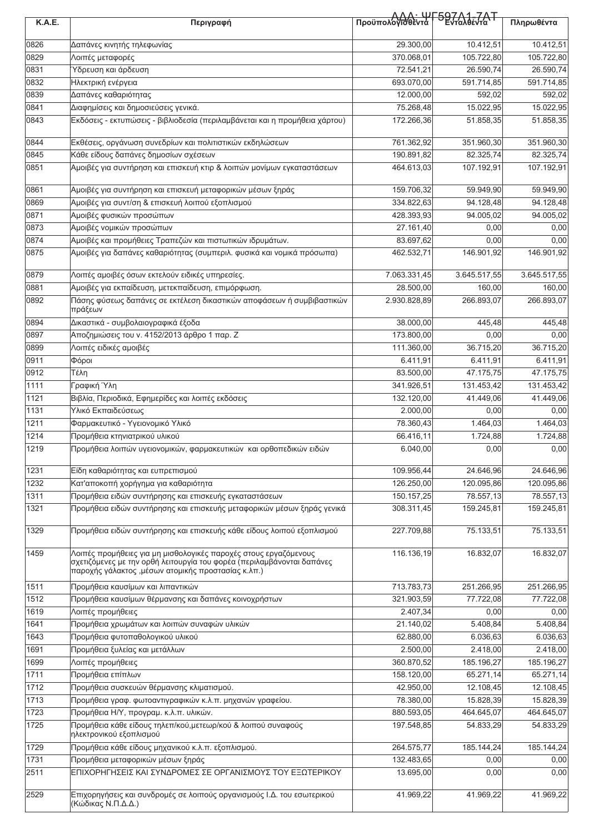| K.A.E. | Περιγραφή                                                                                    | Προϋπολογιδιεντα - Ενταλθέντα Τ |              | Πληρωθέντα   |
|--------|----------------------------------------------------------------------------------------------|---------------------------------|--------------|--------------|
|        |                                                                                              |                                 |              |              |
| 0826   | Δαπάνες κινητής τηλεφωνίας                                                                   | 29.300,00                       | 10.412,51    | 10.412,51    |
| 0829   | Λοιπές μεταφορές                                                                             | 370.068,01                      | 105.722,80   | 105.722,80   |
| 0831   | Υδρευση και άρδευση                                                                          | 72.541,21                       | 26.590,74    | 26.590,74    |
| 0832   | Ηλεκτρική ενέργεια                                                                           | 693.070,00                      | 591.714,85   | 591.714,85   |
| 0839   | Δαπάνες καθαριότητας                                                                         | 12.000,00                       | 592,02       | 592,02       |
| 0841   | Διαφημίσεις και δημοσιεύσεις γενικά.                                                         | 75.268,48                       | 15.022,95    | 15.022,95    |
| 0843   | Εκδόσεις - εκτυπώσεις - βιβλιοδεσία (περιλαμβάνεται και η προμήθεια χάρτου)                  | 172.266,36                      | 51.858,35    | 51.858,35    |
| 0844   | Εκθέσεις, οργάνωση συνεδρίων και πολιτιστικών εκδηλώσεων                                     | 761.362,92                      | 351.960,30   | 351.960,30   |
| 0845   | Κάθε είδους δαπάνες δημοσίων σχέσεων                                                         | 190.891,82                      | 82.325,74    | 82.325,74    |
| 0851   | Αμοιβές για συντήρηση και επισκευή κτιρ & λοιπών μονίμων εγκαταστάσεων                       | 464.613,03                      | 107.192,91   | 107.192,91   |
|        |                                                                                              |                                 |              |              |
| 0861   | Αμοιβές για συντήρηση και επισκευή μεταφορικών μέσων ξηράς                                   | 159.706,32                      | 59.949,90    | 59.949,90    |
| 0869   | Αμοιβές για συντ/ση & επισκευή λοιπού εξοπλισμού                                             | 334.822,63                      | 94.128,48    | 94.128,48    |
| 0871   | Αμοιβές φυσικών προσώπων                                                                     | 428.393,93                      | 94.005,02    | 94.005,02    |
| 0873   | Αμοιβές νομικών προσώπων                                                                     | 27.161,40                       | 0,00         | 0,00         |
| 0874   | Αμοιβές και προμήθειες Τραπεζών και πιστωτικών ιδρυμάτων.                                    | 83.697,62                       | 0,00         | 0,00         |
| 0875   | Αμοιβές για δαπάνες καθαριότητας (συμπεριλ. φυσικά και νομικά πρόσωπα)                       | 462.532,71                      | 146.901,92   | 146.901,92   |
| 0879   | Λοιπές αμοιβές όσων εκτελούν ειδικές υπηρεσίες.                                              | 7.063.331,45                    | 3.645.517,55 | 3.645.517,55 |
| 0881   | Αμοιβές για εκπαίδευση, μετεκπαίδευση, επιμόρφωση.                                           | 28.500,00                       | 160,00       | 160,00       |
| 0892   | Πάσης φύσεως δαπάνες σε εκτέλεση δικαστικών αποφάσεων ή συμβιβαστικών                        | 2.930.828,89                    | 266.893,07   | 266.893,07   |
|        | πράξεων                                                                                      |                                 |              |              |
| 0894   | Δικαστικά - συμβολαιογραφικά έξοδα                                                           | 38.000,00                       | 445,48       | 445,48       |
| 0897   | Αποζημιώσεις του ν. 4152/2013 άρθρο 1 παρ. Ζ                                                 | 173.800,00                      | 0,00         | 0,00         |
| 0899   | Λοιπές ειδικές αμοιβές                                                                       | 111.360,00                      | 36.715,20    | 36.715,20    |
| 0911   | Φόροι                                                                                        | 6.411,91                        | 6.411,91     | 6.411,91     |
| 0912   | Τέλη                                                                                         | 83.500,00                       | 47.175,75    | 47.175,75    |
| 1111   | Γραφική Ύλη                                                                                  | 341.926,51                      | 131.453,42   | 131.453,42   |
| 1121   | Βιβλία, Περιοδικά, Εφημερίδες και λοιπές εκδόσεις                                            | 132.120,00                      | 41.449,06    | 41.449,06    |
| 1131   | Υλικό Εκπαιδεύσεως                                                                           | 2.000,00                        | 0,00         | 0,00         |
| 1211   | Φαρμακευτικό - Υγειονομικό Υλικό                                                             | 78.360,43                       | 1.464,03     | 1.464,03     |
| 1214   | Προμήθεια κτηνιατρικού υλικού                                                                | 66.416,11                       | 1.724,88     | 1.724,88     |
| 1219   | Προμήθεια λοιπών υγειονομικών, φαρμακευτικών και ορθοπεδικών ειδών                           | 6.040,00                        | 0,00         | 0,00         |
| 1231   | Είδη καθαριότητας και ευπρεπισμού                                                            | 109.956,44                      | 24.646,96    | 24.646,96    |
| 1232   | Κατ'αποκοπή χορήγημα για καθαριότητα                                                         | 126.250,00                      | 120.095,86   | 120.095,86   |
| 1311   | Προμήθεια ειδών συντήρησης και επισκευής εγκαταστάσεων                                       | 150.157,25                      | 78.557,13    | 78.557,13    |
| 1321   | Προμήθεια ειδών συντήρησης και επισκευής μεταφορικών μέσων ξηράς γενικά                      | 308.311,45                      | 159.245,81   | 159.245,81   |
|        |                                                                                              |                                 |              |              |
| 1329   | Προμήθεια ειδών συντήρησης και επισκευής κάθε είδους λοιπού εξοπλισμού                       | 227.709,88                      | 75.133,51    | 75.133,51    |
| 1459   | Λοιπές προμήθειες για μη μισθολογικές παροχές στους εργαζόμενους                             | 116.136,19                      | 16.832,07    | 16.832,07    |
|        | σχετιζόμενες με την ορθή λειτουργία του φορέα (περιλαμβάνονται δαπάνες                       |                                 |              |              |
|        | παροχής γάλακτος ,μέσων ατομικής προστασίας κ.λπ.)                                           |                                 |              |              |
| 1511   | Προμήθεια καυσίμων και λιπαντικών                                                            | 713.783,73                      | 251.266,95   | 251.266,95   |
| 1512   | Προμήθεια καυσίμων θέρμανσης και δαπάνες κοινοχρήστων                                        | 321.903,59                      | 77.722,08    | 77.722,08    |
| 1619   | Λοιπές προμήθειες                                                                            | 2.407,34                        | 0,00         | 0,00         |
| 1641   | Προμήθεια χρωμάτων και λοιπών συναφών υλικών                                                 | 21.140,02                       | 5.408,84     | 5.408,84     |
| 1643   | Προμήθεια φυτοπαθολογικού υλικού                                                             | 62.880,00                       | 6.036,63     | 6.036,63     |
| 1691   | Προμήθεια ξυλείας και μετάλλων                                                               | 2.500,00                        | 2.418,00     | 2.418,00     |
| 1699   | Λοιπές προμήθειες                                                                            | 360.870,52                      | 185.196,27   | 185.196,27   |
| 1711   | Προμήθεια επίπλων                                                                            | 158.120,00                      | 65.271,14    | 65.271,14    |
| 1712   | Προμήθεια συσκευών θέρμανσης κλιματισμού.                                                    | 42.950,00                       | 12.108,45    | 12.108,45    |
| 1713   | Προμήθεια γραφ. φωτοαντιγραφικών κ.λ.π. μηχανών γραφείου.                                    | 78.380,00                       | 15.828,39    | 15.828,39    |
| 1723   | Προμήθεια Η/Υ, προγραμ. κ.λ.π. υλικών.                                                       | 880.593,05                      | 464.645,07   | 464.645,07   |
| 1725   | Προμήθεια κάθε είδους τηλεπ/κού,μετεωρ/κού & λοιπού συναφούς<br>ηλεκτρονικού εξοπλισμού      | 197.548,85                      | 54.833,29    | 54.833,29    |
| 1729   | Προμήθεια κάθε είδους μηχανικού κ.λ.π. εξοπλισμού.                                           | 264.575,77                      | 185.144,24   | 185.144,24   |
| 1731   | Προμήθεια μεταφορικών μέσων ξηράς                                                            | 132.483,65                      | 0,00         | 0,00         |
| 2511   | ΕΠΙΧΟΡΗΓΗΣΕΙΣ ΚΑΙ ΣΥΝΔΡΟΜΕΣ ΣΕ ΟΡΓΑΝΙΣΜΟΥΣ ΤΟΥ ΕΞΩΤΕΡΙΚΟΥ                                    | 13.695,00                       | 0,00         | 0,00         |
|        |                                                                                              |                                 |              |              |
| 2529   | Επιχορηγήσεις και συνδρομές σε λοιπούς οργανισμούς Ι.Δ. του εσωτερικού<br>(Κώδικας Ν.Π.Δ.Δ.) | 41.969,22                       | 41.969,22    | 41.969,22    |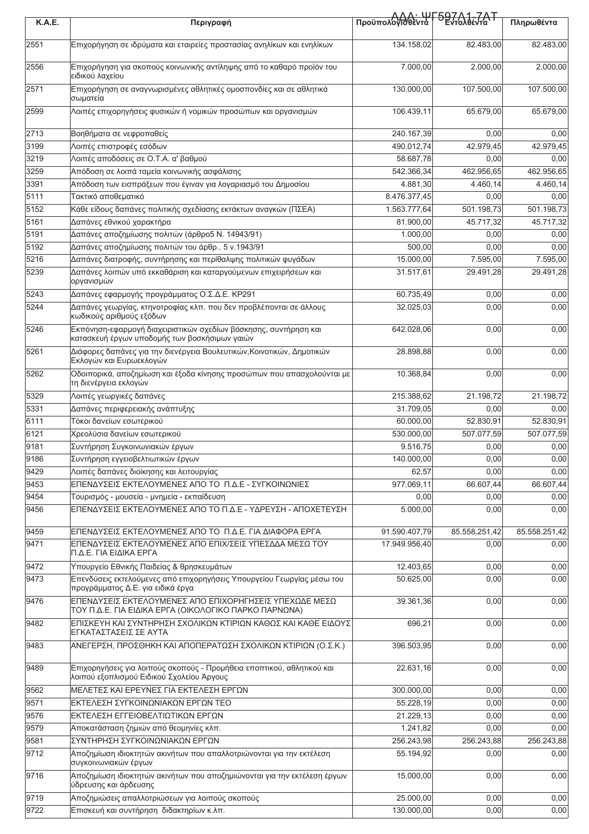| <b>K.A.E.</b> | Περιγραφή                                                                                                           | Προϋπολόγιοθέντα Γ597Λ1-7ΑΤ |               | Πληρωθέντα    |
|---------------|---------------------------------------------------------------------------------------------------------------------|-----------------------------|---------------|---------------|
| 2551          | Επιχορήγηση σε ιδρύματα και εταιρείες προστασίας ανηλίκων και ενηλίκων                                              | 134.158.02                  | 82.483.00     | 82.483,00     |
| 2556          | Επιχορήγηση για σκοπούς κοινωνικής αντίληψης από το καθαρό προϊόν του<br>ειδικού λαχείου                            | 7.000,00                    | 2.000,00      | 2.000,00      |
| 2571          | Επιχορήγηση σε αναγνωρισμένες αθλητικές ομοσπονδίες και σε αθλητικά<br>σωματεία                                     | 130.000,00                  | 107.500,00    | 107.500,00    |
| 2599          | Λοιπές επιχορηγήσεις φυσικών ή νομικών προσώπων και οργανισμών                                                      | 106.439,11                  | 65.679,00     | 65.679,00     |
| 2713          | Βοηθήματα σε νεφροπαθείς                                                                                            | 240.167,39                  | 0,00          | 0,00          |
| 3199          | Λοιπές επιστροφές εσόδων                                                                                            | 490.012,74                  | 42.979,45     | 42.979,45     |
| 3219          | Λοιπές αποδόσεις σε Ο.Τ.Α. α' βαθμού                                                                                | 58.687,78                   | 0,00          | 0,00          |
| 3259          | Απόδοση σε λοιπά ταμεία κοινωνικής ασφάλισης                                                                        | 542.366,34                  | 462.956,65    | 462.956,65    |
| 3391          | Απόδοση των εισπράξεων που έγιναν για λογαριασμό του Δημοσίου                                                       | 4.881,30                    | 4.460,14      | 4.460,14      |
| 5111          | Τακτικό αποθεματικό                                                                                                 | 8.476.377,45                | 0,00          | 0,00          |
| 5152          | Κάθε είδους δαπάνες πολιτικής σχεδίασης εκτάκτων αναγκών (ΠΣΕΑ)                                                     | 1.563.777,64                | 501.198,73    | 501.198,73    |
| 5161          | Δαπάνες εθνικού χαρακτήρα                                                                                           | 81.900,00                   | 45.717,32     | 45.717,32     |
| 5191          | Δαπάνες αποζημίωσης πολιτών (άρθρο5 Ν. 14943/91)                                                                    | 1.000,00                    | 0,00          | 0,00          |
| 5192          | Δαπάνες αποζημίωσης πολιτών του άρθρ 5 ν.1943/91                                                                    | 500,00                      | 0,00          | 0,00          |
| 5216          | Δαπάνες διατροφής, συντήρησης και περίθαλψης πολιτικών φυγάδων                                                      | 15.000,00                   | 7.595,00      | 7.595,00      |
| 5239          | Δαπάνες λοιπών υπό εκκαθάριση και καταργούμενων επιχειρήσεων και<br>οργανισμών                                      | 31.517,61                   | 29.491,28     | 29.491,28     |
| 5243          | Δαπάνες εφαρμογής προγράμματος Ο.Σ.Δ.Ε. ΚΡ291                                                                       | 60.735.49                   | 0,00          | 0,00          |
| 5244          | Δαπάνες γεωργίας, κτηνοτροφίας κλπ. που δεν προβλέπονται σε άλλους<br>κωδικούς αριθμούς εξόδων                      | 32.025,03                   | 0,00          | 0,00          |
| 5246          | Εκπόνηση-εφαρμογή διαχειριστικών σχεδίων βόσκησης, συντήρηση και<br>κατασκευή έργων υποδομής των βοσκήσιμων γαιών   | 642.028,06                  | 0,00          | 0,00          |
| 5261          | Διάφορες δαπάνες για την διενέργεια Βουλευτικών, Κοινοτικών, Δημοτικών<br>Εκλογών και Ευρωεκλογών                   | 28.898,88                   | 0,00          | 0,00          |
| 5262          | Οδοιπορικά, αποζημίωση και έξοδα κίνησης προσώπων που απασχολούνται με<br>τη διενέργεια εκλογών                     | 10.368,84                   | 0,00          | 0,00          |
| 5329          | Λοιπές γεωργικές δαπάνες                                                                                            | 215.388,62                  | 21.198,72     | 21.198,72     |
| 5331          | Δαπάνες περιφερειακής ανάπτυξης                                                                                     | 31.709,05                   | 0,00          | 0,00          |
| 6111          | Τόκοι δανείων εσωτερικού                                                                                            | 60.000,00                   | 52.830,91     | 52.830,91     |
| 6121          | Χρεολύσια δανείων εσωτερικού                                                                                        | 530.000.00                  | 507.077,59    | 507.077,59    |
| 9181          | Συντήρηση Συγκοινωνιακών έργων                                                                                      | 9.516,75                    | 0,00          | 0,00          |
| 9186          | Συντήρηση εγγειοβελτιωτικών έργων                                                                                   | 140.000,00                  | 0,00          | 0,00          |
| 9429          | Λοιπές δαπάνες διοίκησης και λειτουργίας                                                                            | 62,57                       | 0,00          | 0,00          |
| 9453          | ΕΠΕΝΔΥΣΕΙΣ ΕΚΤΕΛΟΥΜΕΝΕΣ ΑΠΟ ΤΟ Π.Δ.Ε - ΣΥΓΚΟΙΝΩΝΙΕΣ                                                                 | 977.069,11                  | 66.607,44     | 66.607,44     |
| 9454          | Τουρισμός - μουσεία - μνημεία - εκπαίδευση                                                                          | 0,00                        | 0,00          | 0,00          |
| 9456          | ΕΠΕΝΔΥΣΕΙΣ ΕΚΤΕΛΟΥΜΕΝΕΣ ΑΠΟ ΤΟ Π.Δ.Ε - ΥΔΡΕΥΣΗ - ΑΠΟΧΕΤΕΥΣΗ                                                         | 5.000,00                    | 0,00          | 0,00          |
| 9459          | ΕΠΕΝΔΥΣΕΙΣ ΕΚΤΕΛΟΥΜΕΝΕΣ ΑΠΟ ΤΟ Π.Δ.Ε. ΓΙΑ ΔΙΑΦΟΡΑ ΕΡΓΑ                                                              | 91.590.407,79               | 85.558.251,42 | 85.558.251,42 |
| 9471          | ΕΠΕΝΔΥΣΕΙΣ ΕΚΤΕΛΟΥΜΕΝΕΣ ΑΠΟ ΕΠΙΧ/ΣΕΙΣ ΥΠΕΣΔΔΑ ΜΕΣΩ ΤΟΥ<br>Π.Δ.Ε. ΓΙΑ ΕΙΔΙΚΑ ΕΡΓΑ                                    | 17.949.956,40               | 0,00          | 0,00          |
| 9472          | Υπουργείο Εθνικής Παιδείας & θρησκευμάτων                                                                           | 12.403,65                   | 0,00          | 0,00          |
| 9473          | Επενδύσεις εκτελούμενες από επιχορηγήσεις Υπουργείου Γεωργίας μέσω του<br>προγράμματος Δ.Ε. για ειδικά έργα         | 50.625,00                   | 0,00          | 0,00          |
| 9476          | ΕΠΕΝΔΥΣΕΙΣ ΕΚΤΕΛΟΥΜΕΝΕΣ ΑΠΟ ΕΠΙΧΟΡΗΓΗΣΕΙΣ ΥΠΕΧΩΔΕ ΜΕΣΩ<br>ΤΟΥ Π.Δ.Ε. ΓΙΑ ΕΙΔΙΚΑ ΕΡΓΑ (ΟΙΚΟΛΟΓΙΚΟ ΠΑΡΚΟ ΠΑΡΝΩΝΑ)     | 39.361,36                   | 0,00          | 0,00          |
| 9482          | ΕΠΙΣΚΕΥΗ ΚΑΙ ΣΥΝΤΗΡΗΣΗ ΣΧΟΛΙΚΩΝ ΚΤΙΡΙΩΝ ΚΑΘΩΣ ΚΑΙ ΚΑΘΕ ΕΙΔΟΥΣ<br>ΕΓΚΑΤΑΣΤΑΣΕΙΣ ΣΕ ΑΥΤΑ                              | 696,21                      | 0,00          | 0,00          |
| 9483          | ΑΝΕΓΕΡΣΗ, ΠΡΟΣΘΗΚΗ ΚΑΙ ΑΠΟΠΕΡΑΤΩΣΗ ΣΧΟΛΙΚΩΝ ΚΤΙΡΙΩΝ (Ο.Σ.Κ.)                                                        | 396.503,95                  | 0,00          | 0,00          |
| 9489          | Επιχορηγήσεις για λοιπούς σκοπούς - Προμήθεια εποπτικού, αθλητικού και<br>λοιπού εξοπλισμού Ειδικού Σχολείου Άργους | 22.631,16                   | 0,00          | 0,00          |
| 9562          | ΜΕΛΕΤΕΣ ΚΑΙ ΕΡΕΥΝΕΣ ΓΙΑ ΕΚΤΕΛΕΣΗ ΕΡΓΩΝ                                                                              | 300.000,00                  | 0,00          | 0,00          |
| 9571          | ΕΚΤΕΛΕΣΗ ΣΥΓΚΟΙΝΩΝΙΑΚΩΝ ΕΡΓΩΝ ΤΕΟ                                                                                   | 55.228,19                   | 0,00          | 0,00          |
| 9576          | ΕΚΤΕΛΕΣΗ ΕΓΓΕΙΟΒΕΛΤΙΩΤΙΚΩΝ ΕΡΓΩΝ                                                                                    | 21.229,13                   | 0,00          | 0,00          |
| 9579          | Αποκατάσταση ζημιών από θεομηνίες κλπ.                                                                              | 1.241,82                    | 0,00          | 0,00          |
| 9581          | ΣΥΝΤΗΡΗΣΗ ΣΥΓΚΟΙΝΩΝΙΑΚΩΝ ΕΡΓΩΝ                                                                                      | 256.243,98                  | 256.243,88    | 256.243,88    |
| 9712          | Αποζημίωση ιδιοκτητών ακινήτων που απαλλοτριώνονται για την εκτέλεση<br>συγκοινωνιακών έργων                        | 55.194,92                   | 0,00          | 0,00          |
| 9716          | Αποζημίωση ιδιοκτητών ακινήτων που αποζημιώνονται για την εκτέλεση έργων<br>ύδρευσης και άρδευσης                   | 15.000,00                   | 0,00          | 0,00          |
| 9719          | Αποζημιώσεις απαλλοτριώσεων για λοιπούς σκοπούς                                                                     | 25.000,00                   | 0,00          | 0,00          |
| 9722          | Επισκευή και συντήρηση διδακτηρίων κ.λπ.                                                                            | 130.000,00                  | 0,00          | 0,00          |